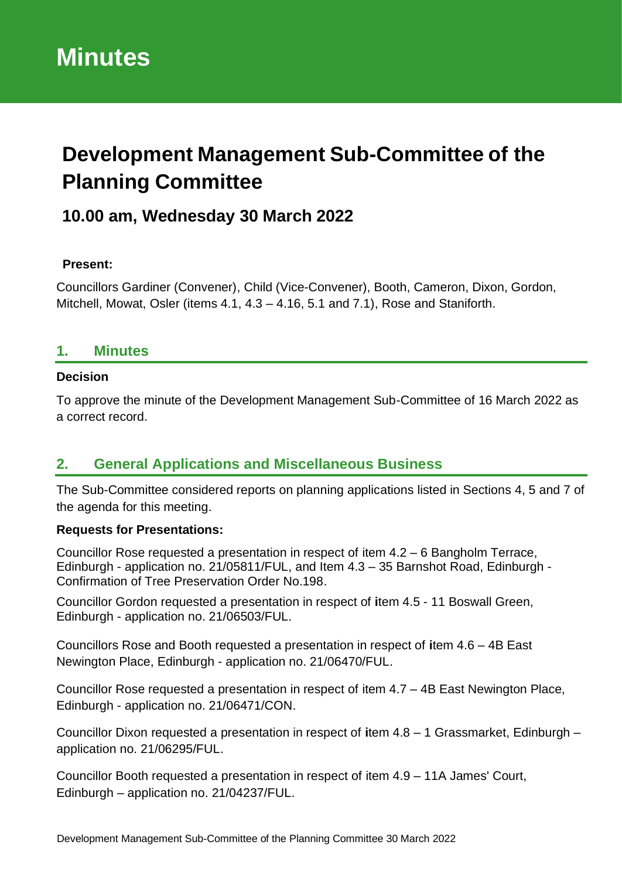# **Development Management Sub-Committee of the Planning Committee**

## **10.00 am, Wednesday 30 March 2022**

#### **Present:**

Councillors Gardiner (Convener), Child (Vice-Convener), Booth, Cameron, Dixon, Gordon, Mitchell, Mowat, Osler (items 4.1, 4.3 – 4.16, 5.1 and 7.1), Rose and Staniforth.

#### **1. Minutes**

#### **Decision**

To approve the minute of the Development Management Sub-Committee of 16 March 2022 as a correct record.

#### **2. General Applications and Miscellaneous Business**

The Sub-Committee considered reports on planning applications listed in Sections 4, 5 and 7 of the agenda for this meeting.

#### **Requests for Presentations:**

Councillor Rose requested a presentation in respect of item 4.2 – 6 Bangholm Terrace, Edinburgh - application no. 21/05811/FUL, and Item 4.3 – 35 Barnshot Road, Edinburgh - Confirmation of Tree Preservation Order No.198.

Councillor Gordon requested a presentation in respect of **i**tem 4.5 - 11 Boswall Green, Edinburgh - application no. 21/06503/FUL.

Councillors Rose and Booth requested a presentation in respect of **i**tem 4.6 – 4B East Newington Place, Edinburgh - application no. 21/06470/FUL.

Councillor Rose requested a presentation in respect of item 4.7 – 4B East Newington Place, Edinburgh - application no. 21/06471/CON.

Councillor Dixon requested a presentation in respect of **i**tem 4.8 – 1 Grassmarket, Edinburgh – application no. 21/06295/FUL.

Councillor Booth requested a presentation in respect of item 4.9 – 11A James' Court, Edinburgh – application no. 21/04237/FUL.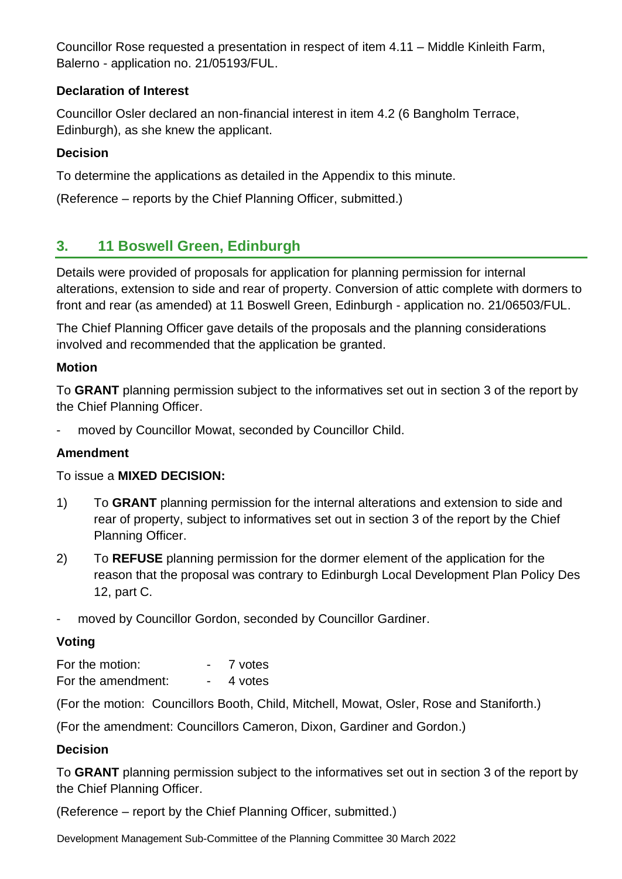Councillor Rose requested a presentation in respect of item 4.11 – Middle Kinleith Farm, Balerno - application no. 21/05193/FUL.

#### **Declaration of Interest**

Councillor Osler declared an non-financial interest in item 4.2 (6 Bangholm Terrace, Edinburgh), as she knew the applicant.

#### **Decision**

To determine the applications as detailed in the Appendix to this minute.

(Reference – reports by the Chief Planning Officer, submitted.)

### **3. 11 Boswell Green, Edinburgh**

Details were provided of proposals for application for planning permission for internal alterations, extension to side and rear of property. Conversion of attic complete with dormers to front and rear (as amended) at 11 Boswell Green, Edinburgh - application no. 21/06503/FUL.

The Chief Planning Officer gave details of the proposals and the planning considerations involved and recommended that the application be granted.

#### **Motion**

To **GRANT** planning permission subject to the informatives set out in section 3 of the report by the Chief Planning Officer.

moved by Councillor Mowat, seconded by Councillor Child.

#### **Amendment**

#### To issue a **MIXED DECISION:**

- 1) To **GRANT** planning permission for the internal alterations and extension to side and rear of property, subject to informatives set out in section 3 of the report by the Chief Planning Officer.
- 2) To **REFUSE** planning permission for the dormer element of the application for the reason that the proposal was contrary to Edinburgh Local Development Plan Policy Des 12, part C.
- moved by Councillor Gordon, seconded by Councillor Gardiner.

#### **Voting**

For the motion:  $\overline{7}$  votes For the amendment:  $\overline{4}$  votes

(For the motion: Councillors Booth, Child, Mitchell, Mowat, Osler, Rose and Staniforth.)

(For the amendment: Councillors Cameron, Dixon, Gardiner and Gordon.)

#### **Decision**

To **GRANT** planning permission subject to the informatives set out in section 3 of the report by the Chief Planning Officer.

(Reference – report by the Chief Planning Officer, submitted.)

Development Management Sub-Committee of the Planning Committee 30 March 2022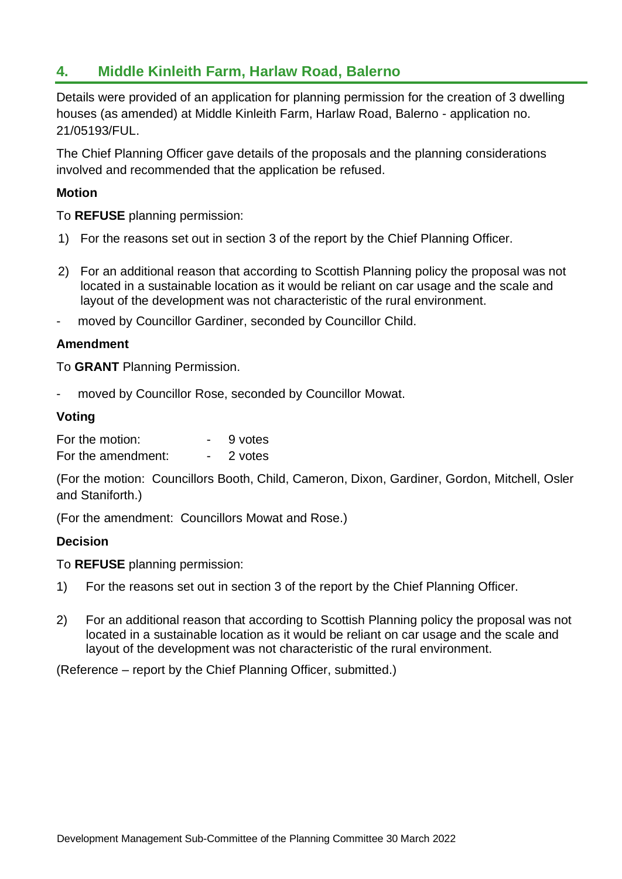### **4. Middle Kinleith Farm, Harlaw Road, Balerno**

Details were provided of an application for planning permission for the creation of 3 dwelling houses (as amended) at Middle Kinleith Farm, Harlaw Road, Balerno - application no. 21/05193/FUL.

The Chief Planning Officer gave details of the proposals and the planning considerations involved and recommended that the application be refused.

#### **Motion**

To **REFUSE** planning permission:

- 1) For the reasons set out in section 3 of the report by the Chief Planning Officer.
- 2) For an additional reason that according to Scottish Planning policy the proposal was not located in a sustainable location as it would be reliant on car usage and the scale and layout of the development was not characteristic of the rural environment.
- moved by Councillor Gardiner, seconded by Councillor Child.

#### **Amendment**

To **GRANT** Planning Permission.

moved by Councillor Rose, seconded by Councillor Mowat.

#### **Voting**

| For the motion:    | 9 votes |
|--------------------|---------|
| For the amendment: | 2 votes |

(For the motion: Councillors Booth, Child, Cameron, Dixon, Gardiner, Gordon, Mitchell, Osler and Staniforth.)

(For the amendment: Councillors Mowat and Rose.)

#### **Decision**

To **REFUSE** planning permission:

- 1) For the reasons set out in section 3 of the report by the Chief Planning Officer.
- 2) For an additional reason that according to Scottish Planning policy the proposal was not located in a sustainable location as it would be reliant on car usage and the scale and layout of the development was not characteristic of the rural environment.

(Reference – report by the Chief Planning Officer, submitted.)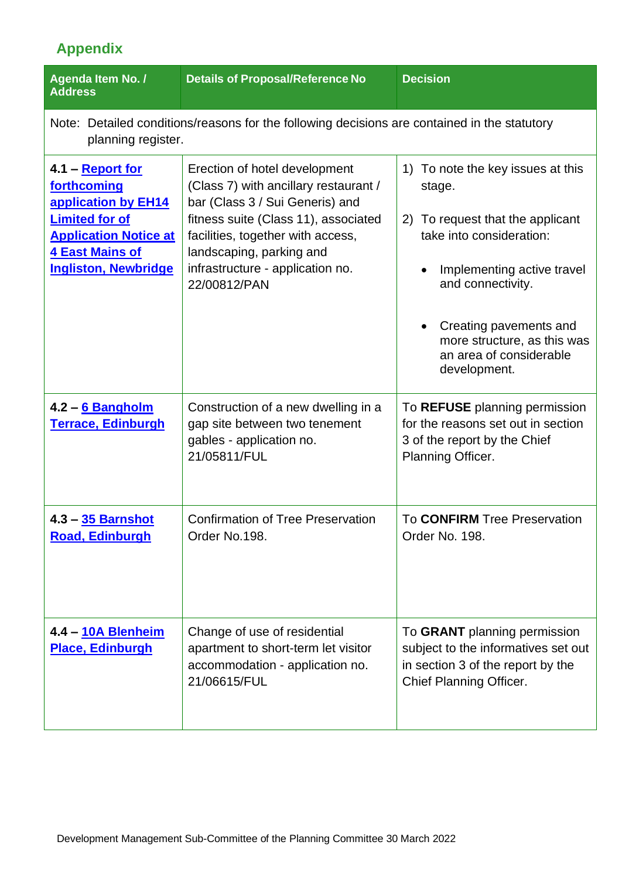# **Appendix**

| Agenda Item No. /<br><b>Address</b>                                                                                                                                             | <b>Details of Proposal/Reference No</b>                                                                                                                                                                                                                                | <b>Decision</b>                                                                                                                                                                                                                                                                                                      |  |
|---------------------------------------------------------------------------------------------------------------------------------------------------------------------------------|------------------------------------------------------------------------------------------------------------------------------------------------------------------------------------------------------------------------------------------------------------------------|----------------------------------------------------------------------------------------------------------------------------------------------------------------------------------------------------------------------------------------------------------------------------------------------------------------------|--|
| planning register.                                                                                                                                                              | Note: Detailed conditions/reasons for the following decisions are contained in the statutory                                                                                                                                                                           |                                                                                                                                                                                                                                                                                                                      |  |
| 4.1 – <b>Report for</b><br>forthcoming<br>application by EH14<br><b>Limited for of</b><br><b>Application Notice at</b><br><b>4 East Mains of</b><br><b>Ingliston, Newbridge</b> | Erection of hotel development<br>(Class 7) with ancillary restaurant /<br>bar (Class 3 / Sui Generis) and<br>fitness suite (Class 11), associated<br>facilities, together with access,<br>landscaping, parking and<br>infrastructure - application no.<br>22/00812/PAN | To note the key issues at this<br>$\left( \begin{matrix} 1 \end{matrix} \right)$<br>stage.<br>To request that the applicant<br>2)<br>take into consideration:<br>Implementing active travel<br>and connectivity.<br>Creating pavements and<br>more structure, as this was<br>an area of considerable<br>development. |  |
| 4.2 – 6 Bangholm<br><b>Terrace, Edinburgh</b>                                                                                                                                   | Construction of a new dwelling in a<br>gap site between two tenement<br>gables - application no.<br>21/05811/FUL                                                                                                                                                       | To REFUSE planning permission<br>for the reasons set out in section<br>3 of the report by the Chief<br>Planning Officer.                                                                                                                                                                                             |  |
| 4.3 - 35 Barnshot<br><b>Road, Edinburgh</b>                                                                                                                                     | <b>Confirmation of Tree Preservation</b><br>Order No.198.                                                                                                                                                                                                              | To CONFIRM Tree Preservation<br>Order No. 198.                                                                                                                                                                                                                                                                       |  |
| 4.4 - 10A Blenheim<br><b>Place, Edinburgh</b>                                                                                                                                   | Change of use of residential<br>apartment to short-term let visitor<br>accommodation - application no.<br>21/06615/FUL                                                                                                                                                 | To GRANT planning permission<br>subject to the informatives set out<br>in section 3 of the report by the<br>Chief Planning Officer.                                                                                                                                                                                  |  |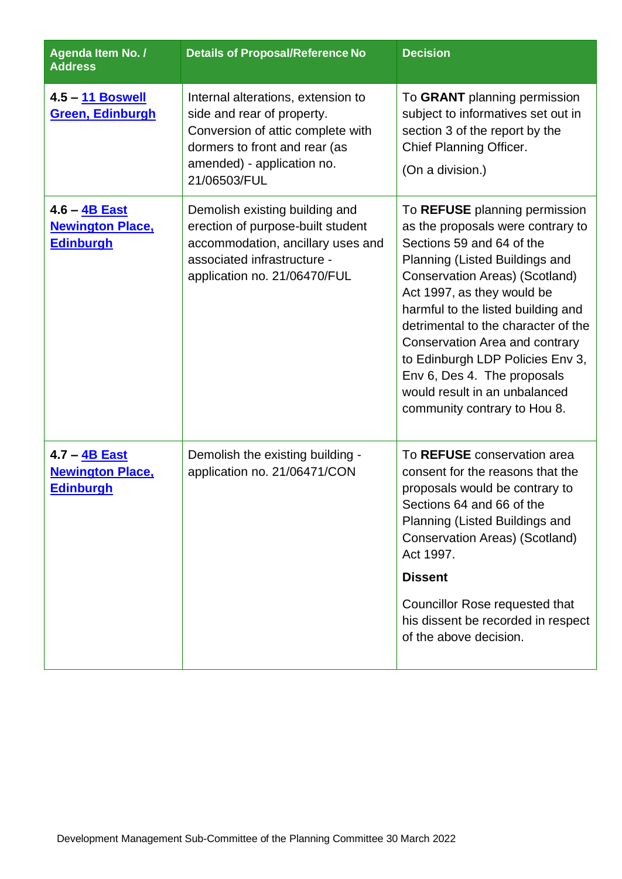| Agenda Item No. /<br><b>Address</b>                          | <b>Details of Proposal/Reference No</b>                                                                                                                                              | <b>Decision</b>                                                                                                                                                                                                                                                                                                                                                                                                                                             |
|--------------------------------------------------------------|--------------------------------------------------------------------------------------------------------------------------------------------------------------------------------------|-------------------------------------------------------------------------------------------------------------------------------------------------------------------------------------------------------------------------------------------------------------------------------------------------------------------------------------------------------------------------------------------------------------------------------------------------------------|
| 4.5 - 11 Boswell<br><b>Green, Edinburgh</b>                  | Internal alterations, extension to<br>side and rear of property.<br>Conversion of attic complete with<br>dormers to front and rear (as<br>amended) - application no.<br>21/06503/FUL | To GRANT planning permission<br>subject to informatives set out in<br>section 3 of the report by the<br>Chief Planning Officer.<br>(On a division.)                                                                                                                                                                                                                                                                                                         |
| 4.6 - 4B East<br><b>Newington Place,</b><br><b>Edinburgh</b> | Demolish existing building and<br>erection of purpose-built student<br>accommodation, ancillary uses and<br>associated infrastructure -<br>application no. 21/06470/FUL              | To REFUSE planning permission<br>as the proposals were contrary to<br>Sections 59 and 64 of the<br>Planning (Listed Buildings and<br><b>Conservation Areas) (Scotland)</b><br>Act 1997, as they would be<br>harmful to the listed building and<br>detrimental to the character of the<br>Conservation Area and contrary<br>to Edinburgh LDP Policies Env 3,<br>Env 6, Des 4. The proposals<br>would result in an unbalanced<br>community contrary to Hou 8. |
| 4.7 - 4B East<br><b>Newington Place,</b><br><b>Edinburgh</b> | Demolish the existing building -<br>application no. 21/06471/CON                                                                                                                     | To REFUSE conservation area<br>consent for the reasons that the<br>proposals would be contrary to<br>Sections 64 and 66 of the<br>Planning (Listed Buildings and<br>Conservation Areas) (Scotland)<br>Act 1997.<br><b>Dissent</b><br>Councillor Rose requested that<br>his dissent be recorded in respect<br>of the above decision.                                                                                                                         |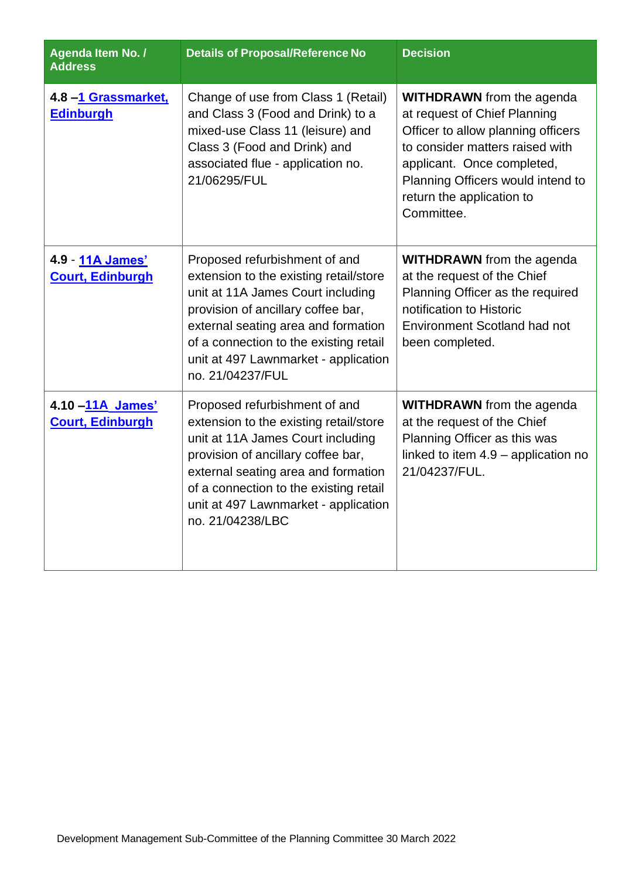| Agenda Item No. /<br><b>Address</b>         | <b>Details of Proposal/Reference No</b>                                                                                                                                                                                                                                                         | <b>Decision</b>                                                                                                                                                                                                                                         |
|---------------------------------------------|-------------------------------------------------------------------------------------------------------------------------------------------------------------------------------------------------------------------------------------------------------------------------------------------------|---------------------------------------------------------------------------------------------------------------------------------------------------------------------------------------------------------------------------------------------------------|
| 4.8 -1 Grassmarket,<br><b>Edinburgh</b>     | Change of use from Class 1 (Retail)<br>and Class 3 (Food and Drink) to a<br>mixed-use Class 11 (leisure) and<br>Class 3 (Food and Drink) and<br>associated flue - application no.<br>21/06295/FUL                                                                                               | <b>WITHDRAWN</b> from the agenda<br>at request of Chief Planning<br>Officer to allow planning officers<br>to consider matters raised with<br>applicant. Once completed,<br>Planning Officers would intend to<br>return the application to<br>Committee. |
| 4.9 - 11A James'<br><b>Court, Edinburgh</b> | Proposed refurbishment of and<br>extension to the existing retail/store<br>unit at 11A James Court including<br>provision of ancillary coffee bar,<br>external seating area and formation<br>of a connection to the existing retail<br>unit at 497 Lawnmarket - application<br>no. 21/04237/FUL | <b>WITHDRAWN</b> from the agenda<br>at the request of the Chief<br>Planning Officer as the required<br>notification to Historic<br>Environment Scotland had not<br>been completed.                                                                      |
| 4.10 -11A James'<br><b>Court, Edinburgh</b> | Proposed refurbishment of and<br>extension to the existing retail/store<br>unit at 11A James Court including<br>provision of ancillary coffee bar,<br>external seating area and formation<br>of a connection to the existing retail<br>unit at 497 Lawnmarket - application<br>no. 21/04238/LBC | <b>WITHDRAWN</b> from the agenda<br>at the request of the Chief<br>Planning Officer as this was<br>linked to item 4.9 - application no<br>21/04237/FUL.                                                                                                 |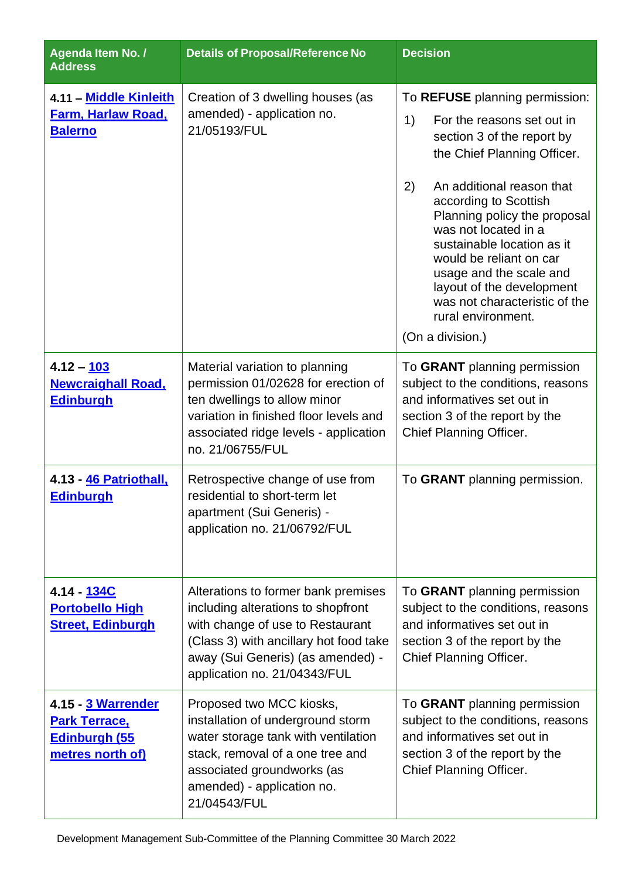| Agenda Item No. /<br><b>Address</b>                                             | <b>Details of Proposal/Reference No</b>                                                                                                                                                                                      | <b>Decision</b>                                                                                                                                                                                                                                                                                                                                                                                                                                 |
|---------------------------------------------------------------------------------|------------------------------------------------------------------------------------------------------------------------------------------------------------------------------------------------------------------------------|-------------------------------------------------------------------------------------------------------------------------------------------------------------------------------------------------------------------------------------------------------------------------------------------------------------------------------------------------------------------------------------------------------------------------------------------------|
| 4.11 - Middle Kinleith<br><b>Farm, Harlaw Road,</b><br><b>Balerno</b>           | Creation of 3 dwelling houses (as<br>amended) - application no.<br>21/05193/FUL                                                                                                                                              | To REFUSE planning permission:<br>1)<br>For the reasons set out in<br>section 3 of the report by<br>the Chief Planning Officer.<br>2)<br>An additional reason that<br>according to Scottish<br>Planning policy the proposal<br>was not located in a<br>sustainable location as it<br>would be reliant on car<br>usage and the scale and<br>layout of the development<br>was not characteristic of the<br>rural environment.<br>(On a division.) |
| $4.12 - 103$<br><b>Newcraighall Road,</b><br><b>Edinburgh</b>                   | Material variation to planning<br>permission 01/02628 for erection of<br>ten dwellings to allow minor<br>variation in finished floor levels and<br>associated ridge levels - application<br>no. 21/06755/FUL                 | To GRANT planning permission<br>subject to the conditions, reasons<br>and informatives set out in<br>section 3 of the report by the<br>Chief Planning Officer.                                                                                                                                                                                                                                                                                  |
| 4.13 - 46 Patriothall,<br><b>Edinburgh</b>                                      | Retrospective change of use from<br>residential to short-term let<br>apartment (Sui Generis) -<br>application no. 21/06792/FUL                                                                                               | To GRANT planning permission.                                                                                                                                                                                                                                                                                                                                                                                                                   |
| 4.14 - 134C<br><b>Portobello High</b><br><b>Street, Edinburgh</b>               | Alterations to former bank premises<br>including alterations to shopfront<br>with change of use to Restaurant<br>(Class 3) with ancillary hot food take<br>away (Sui Generis) (as amended) -<br>application no. 21/04343/FUL | To GRANT planning permission<br>subject to the conditions, reasons<br>and informatives set out in<br>section 3 of the report by the<br>Chief Planning Officer.                                                                                                                                                                                                                                                                                  |
| 4.15 - 3 Warrender<br><b>Park Terrace,</b><br>Edinburgh (55<br>metres north of) | Proposed two MCC kiosks,<br>installation of underground storm<br>water storage tank with ventilation<br>stack, removal of a one tree and<br>associated groundworks (as<br>amended) - application no.<br>21/04543/FUL         | To GRANT planning permission<br>subject to the conditions, reasons<br>and informatives set out in<br>section 3 of the report by the<br>Chief Planning Officer.                                                                                                                                                                                                                                                                                  |